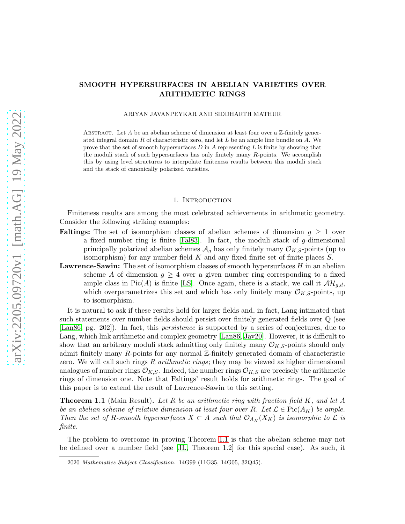## SMOOTH HYPERSURFACES IN ABELIAN VARIETIES OVER ARITHMETIC RINGS

#### ARIYAN JAVANPEYKAR AND SIDDHARTH MATHUR

ABSTRACT. Let A be an abelian scheme of dimension at least four over a  $\mathbb{Z}$ -finitely generated integral domain  $R$  of characteristic zero, and let  $L$  be an ample line bundle on  $A$ . We prove that the set of smooth hypersurfaces  $D$  in  $A$  representing  $L$  is finite by showing that the moduli stack of such hypersurfaces has only finitely many R-points. We accomplish this by using level structures to interpolate finiteness results between this moduli stack and the stack of canonically polarized varieties.

#### 1. INTRODUCTION

Finiteness results are among the most celebrated achievements in arithmetic geometry. Consider the following striking examples:

- **Faltings:** The set of isomorphism classes of abelian schemes of dimension  $g \geq 1$  over a fixed number ring is finite [\[Fal83\]](#page-12-0). In fact, the moduli stack of  $g$ -dimensional principally polarized abelian schemes  $\mathcal{A}_g$  has only finitely many  $\mathcal{O}_{K,S}$ -points (up to isomorphism) for any number field  $K$  and any fixed finite set of finite places  $S$ .
- **Lawrence-Sawin:** The set of isomorphism classes of smooth hypersurfaces  $H$  in an abelian scheme A of dimension  $g \geq 4$  over a given number ring corresponding to a fixed ample class in Pic(A) is finite [\[LS\]](#page-13-0). Once again, there is a stack, we call it  $\mathcal{AH}_{q,d}$ , which overparametrizes this set and which has only finitely many  $\mathcal{O}_{K,S}$ -points, up to isomorphism.

It is natural to ask if these results hold for larger fields and, in fact, Lang intimated that such statements over number fields should persist over finitely generated fields over Q (see [\[Lan86,](#page-13-1) pg. 202]). In fact, this *persistence* is supported by a series of conjectures, due to Lang, which link arithmetic and complex geometry [\[Lan86,](#page-13-1) [Jav20\]](#page-13-2). However, it is difficult to show that an arbitrary moduli stack admitting only finitely many  $\mathcal{O}_{K,S}$ -points should only admit finitely many R-points for any normal Z-finitely generated domain of characteristic zero. We will call such rings R *arithmetic rings*; they may be viewed as higher dimensional analogues of number rings  $\mathcal{O}_{K,S}$ . Indeed, the number rings  $\mathcal{O}_{K,S}$  are precisely the arithmetic rings of dimension one. Note that Faltings' result holds for arithmetic rings. The goal of this paper is to extend the result of Lawrence-Sawin to this setting.

<span id="page-0-0"></span>Theorem 1.1 (Main Result). *Let* R *be an arithmetic ring with fraction field* K*, and let* A *be an abelian scheme of relative dimension at least four over* R. Let  $\mathcal{L} \in Pic(A_K)$  *be ample. Then the set of* R-smooth hypersurfaces  $X \subset A$  *such that*  $\mathcal{O}_{A_K}(X_K)$  *is isomorphic to*  $\mathcal{L}$  *is finite.*

The problem to overcome in proving Theorem [1.1](#page-0-0) is that the abelian scheme may not be defined over a number field (see [\[JL,](#page-13-3) Theorem 1.2] for this special case). As such, it

<sup>2020</sup> *Mathematics Subject Classification.* 14G99 (11G35, 14G05, 32Q45).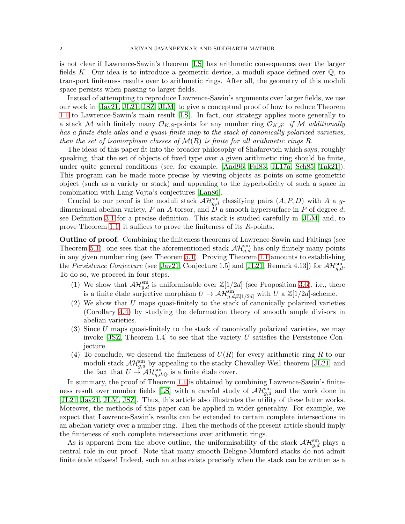is not clear if Lawrence-Sawin's theorem [\[LS\]](#page-13-0) has arithmetic consequences over the larger fields K. Our idea is to introduce a geometric device, a moduli space defined over  $\mathbb{Q}$ , to transport finiteness results over to arithmetic rings. After all, the geometry of this moduli space persists when passing to larger fields.

Instead of attempting to reproduce Lawrence-Sawin's arguments over larger fields, we use our work in [\[Jav21,](#page-13-4) [JL21,](#page-13-5) [JSZ,](#page-13-6) [JLM\]](#page-13-7) to give a conceptual proof of how to reduce Theorem [1.1](#page-0-0) to Lawrence-Sawin's main result [\[LS\]](#page-13-0). In fact, our strategy applies more generally to a stack M with finitely many  $\mathcal{O}_{K,S}$ -points for any number ring  $\mathcal{O}_{K,S}$ : *if* M *additionally has a finite ´etale atlas and a quasi-finite map to the stack of canonically polarized varieties, then the set of isomorphism classes of* M(R) *is finite for all arithmetic rings* R.

The ideas of this paper fit into the broader philosophy of Shafarevich which says, roughly speaking, that the set of objects of fixed type over a given arithmetic ring should be finite, under quite general conditions (see, for example, [\[And96,](#page-12-1) [Fal83,](#page-12-0) [JL17a,](#page-13-8) [Sch85,](#page-14-0) [Tak21\]](#page-14-1)). This program can be made more precise by viewing objects as points on some geometric object (such as a variety or stack) and appealing to the hyperbolicity of such a space in combination with Lang-Vojta's conjectures [\[Lan86\]](#page-13-1).

Crucial to our proof is the moduli stack  $\mathcal{AH}_{g,d}^{\rm sm}$  classifying pairs  $(A, P, D)$  with A a gdimensional abelian variety,  $P$  an  $A$ -torsor, and  $D$  a smooth hypersurface in  $P$  of degree  $d$ ; see Definition [3.1](#page-3-0) for a precise definition. This stack is studied carefully in [\[JLM\]](#page-13-7) and, to prove Theorem [1.1,](#page-0-0) it suffices to prove the finiteness of its  $R$ -points.

Outline of proof. Combining the finiteness theorems of Lawrence-Sawin and Faltings (see Theorem [5.1\)](#page-11-0), one sees that the aforementioned stack  $\mathcal{AH}_{g,d}^{\rm sm}$  has only finitely many points in any given number ring (see Theorem [5.1\)](#page-11-0). Proving Theorem [1.1](#page-0-0) amounts to establishing the *Persistence Conjecture* (see [\[Jav21,](#page-13-4) Conjecture 1.5] and [\[JL21,](#page-13-5) Remark 4.13]) for  $\mathcal{AH}_{g,d}^{\text{sm}}$ . To do so, we proceed in four steps.

- (1) We show that  $\mathcal{AH}_{g,d}^{\text{sm}}$  is uniformisable over  $\mathbb{Z}[1/2d]$  (see Proposition [3.6\)](#page-5-0), i.e., there is a finite étale surjective morphism  $U \to \mathcal{AH}_{g,d,\mathbb{Z}[1/2d]}^{\rm sm}$  with U a  $\mathbb{Z}[1/2d]$ -scheme.
- (2) We show that U maps quasi-finitely to the stack of canonically polarized varieties (Corollary [4.4\)](#page-9-0) by studying the deformation theory of smooth ample divisors in abelian varieties.
- (3) Since U maps quasi-finitely to the stack of canonically polarized varieties, we may invoke  $[JSZ, Theorem 1.4]$  to see that the variety U satisfies the Persistence Conjecture.
- (4) To conclude, we descend the finiteness of  $U(R)$  for every arithmetic ring R to our moduli stack  $\mathcal{AH}_{g,d}^{\text{sm}}$  by appealing to the stacky Chevalley-Weil theorem [\[JL21\]](#page-13-5) and the fact that  $U \to \mathcal{AH}_{g,d,\mathbb{Q}}^{\text{sm}}$  is a finite étale cover.

In summary, the proof of Theorem [1.1](#page-0-0) is obtained by combining Lawrence-Sawin's finite-ness result over number fields [\[LS\]](#page-13-0) with a careful study of  $\mathcal{AH}_{g,d}^{\rm sm}$  and the work done in [\[JL21,](#page-13-5) [Jav21,](#page-13-4) [JLM,](#page-13-7) [JSZ\]](#page-13-6). Thus, this article also illustrates the utility of these latter works. Moreover, the methods of this paper can be applied in wider generality. For example, we expect that Lawrence-Sawin's results can be extended to certain complete intersections in an abelian variety over a number ring. Then the methods of the present article should imply the finiteness of such complete intersections over arithmetic rings.

As is apparent from the above outline, the uniformisability of the stack  $\mathcal{AH}_{g,d}^{\rm sm}$  plays a central role in our proof. Note that many smooth Deligne-Mumford stacks do not admit finite étale atlases! Indeed, such an atlas exists precisely when the stack can be written as a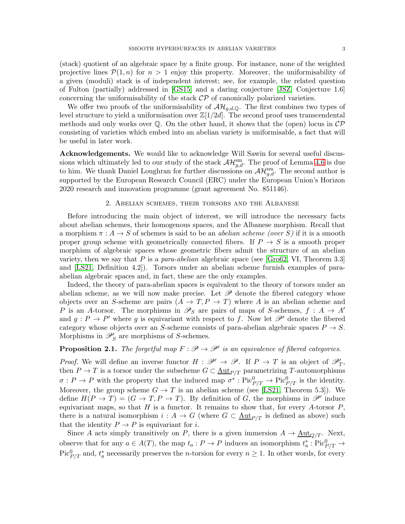(stack) quotient of an algebraic space by a finite group. For instance, none of the weighted projective lines  $\mathcal{P}(1,n)$  for  $n > 1$  enjoy this property. Moreover, the uniformisability of a given (moduli) stack is of independent interest; see, for example, the related question of Fulton (partially) addressed in [\[GS15\]](#page-13-9) and a daring conjecture [\[JSZ,](#page-13-6) Conjecture 1.6] concerning the uniformisability of the stack  $\mathcal{CP}$  of canonically polarized varieties.

We offer two proofs of the uniformisability of  $\mathcal{AH}_{q,d,\mathbb{Q}}$ . The first combines two types of level structure to yield a uniformisation over  $\mathbb{Z}[1/2d]$ . The second proof uses transcendental methods and only works over  $\mathbb Q$ . On the other hand, it shows that the (open) locus in  $\mathcal{CP}$ consisting of varieties which embed into an abelian variety is uniformisable, a fact that will be useful in later work.

Acknowledgements. We would like to acknowledge Will Sawin for several useful discussions which ultimately led to our study of the stack  $\mathcal{AH}_{g,d}^{\text{sm}}$ . The proof of Lemma [4.6](#page-9-1) is due to him. We thank Daniel Loughran for further discussions on  $\mathcal{AH}_{g,d}^{\rm sm}$ . The second author is supported by the European Research Council (ERC) under the European Union's Horizon 2020 research and innovation programme (grant agreement No. 851146).

### 2. Abelian schemes, their torsors and the Albanese

Before introducing the main object of interest, we will introduce the necessary facts about abelian schemes, their homogenous spaces, and the Albanese morphism. Recall that a morphism  $\pi : A \to S$  of schemes is said to be an *abelian scheme (over* S) if it is a smooth proper group scheme with geometrically connected fibers. If  $P \to S$  is a smooth proper morphism of algebraic spaces whose geometric fibers admit the structure of an abelian variety, then we say that P is a *para-abelian* algebraic space (see [\[Gro62,](#page-12-2) VI, Theorem 3.3] and [LS21, Definition 4.2]). Torsors under an abelian scheme furnish examples of paraabelian algebraic spaces and, in fact, these are the only examples.

Indeed, the theory of para-abelian spaces is equivalent to the theory of torsors under an abelian scheme, as we will now make precise. Let  $\mathscr P$  denote the fibered category whose objects over an S-scheme are pairs  $(A \to T, P \to T)$  where A is an abelian scheme and P is an A-torsor. The morphisms in  $\mathscr{P}_S$  are pairs of maps of S-schemes,  $f : A \to A'$ and  $g: P \to P'$  where g is equivariant with respect to f. Now let  $\mathscr{P}'$  denote the fibered category whose objects over an S-scheme consists of para-abelian algebraic spaces  $P \rightarrow S$ . Morphisms in  $\mathscr{P}'_S$  are morphisms of S-schemes.

# <span id="page-2-0"></span>**Proposition 2.1.** *The forgetful map*  $F : \mathscr{P} \to \mathscr{P}'$  *is an equivalence of fibered categories.*

*Proof.* We will define an inverse functor  $H : \mathscr{P}' \to \mathscr{P}$ . If  $P \to T$  is an object of  $\mathscr{P}'_T$ , then  $P \to T$  is a torsor under the subscheme  $G \subset \underline{\text{Aut}}_{P/T}$  parametrizing T-automorphisms  $\sigma: P \to P$  with the property that the induced map  $\sigma^*: Pic^0_{P/T} \to Pic^0_{P/T}$  is the identity. Moreover, the group scheme  $G \to T$  is an abelian scheme (see [LS21, Theorem 5.3]). We define  $H(P \to T) = (G \to T, P \to T)$ . By definition of G, the morphisms in  $\mathscr{P}'$  induce equivariant maps, so that  $H$  is a functor. It remains to show that, for every  $A$ -torsor  $P$ , there is a natural isomorphism  $i : A \to G$  (where  $G \subset \underline{\text{Aut}}_{P/T}$  is defined as above) such that the identity  $P \to P$  is equivariant for *i*.

Since A acts simply transitively on P, there is a given immersion  $A \to \underline{\text{Aut}}_{Q/T}$ . Next, observe that for any  $a \in A(T)$ , the map  $t_a : P \to P$  induces an isomorphism  $t_a^*$  $_{a}^{*}:\operatorname{Pic}^0_{P/T}\rightarrow$ Pic<sup>0</sup><sub> $P/T$ </sub> and,  $t_a^*$  necessarily preserves the *n*-torsion for every  $n \geq 1$ . In other words, for every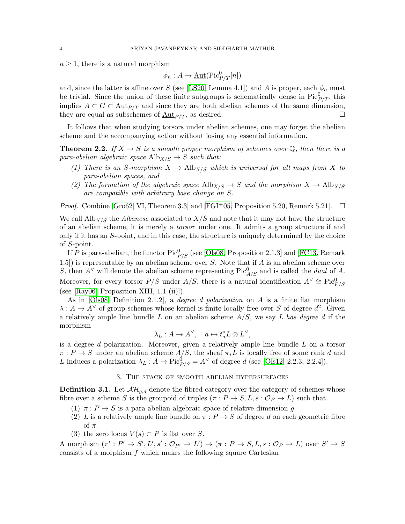$n \geq 1$ , there is a natural morphism

$$
\phi_n : A \to \underline{\mathrm{Aut}}(\mathrm{Pic}^0_{P/T}[n])
$$

and, since the latter is affine over S (see [\[LS20,](#page-13-10) Lemma 4.1]) and A is proper, each  $\phi_n$  must be trivial. Since the union of these finite subgroups is schematically dense in  $Pic^0_{P/T}$ , this implies  $A \subset G \subset \text{Aut}_{P/T}$  and since they are both abelian schemes of the same dimension, they are equal as subschemes of  $\underline{\text{Aut}}_{P/T}$ , as desired.

It follows that when studying torsors under abelian schemes, one may forget the abelian scheme and the accompanying action without losing any essential information.

**Theorem 2.2.** *If*  $X \to S$  *is a smooth proper morphism of schemes over*  $\mathbb{Q}$ *, then there is a para-abelian algebraic space*  $\text{Alb}_{X/S} \rightarrow S$  *such that:* 

- *(1) There is an S-morphism*  $X \to Alb_{X/S}$  *which is universal for all maps from* X *to para-abelian spaces, and*
- *(2) The formation of the algebraic space*  $\text{Alb}_{X/S} \rightarrow S$  *and the morphism*  $X \rightarrow \text{Alb}_{X/S}$ *are compatible with arbitrary base change on* S*.*

*Proof.* Combine [\[Gro62,](#page-12-2) VI, Theorem 3.3] and [\[FGI](#page-12-3)<sup>+</sup>05, Proposition 5.20, Remark 5.21].  $\Box$ 

We call  $\text{Alb}_{X/S}$  the *Albanese* associated to  $X/S$  and note that it may not have the structure of an abelian scheme, it is merely a *torsor* under one. It admits a group structure if and only if it has an S-point, and in this case, the structure is uniquely determined by the choice of S-point.

If P is para-abelian, the functor  $\operatorname{Pic}^0_{P/S}$  (see [\[Ols08,](#page-13-11) Proposition 2.1.3] and [\[FC13,](#page-12-4) Remark 1.5) is representable by an abelian scheme over  $S$ . Note that if  $A$  is an abelian scheme over S, then  $A^{\vee}$  will denote the abelian scheme representing Pic<sup>0</sup><sub>A/S</sub> and is called the *dual* of A. Moreover, for every torsor  $P/S$  under  $A/S$ , there is a natural identification  $A^{\vee} \cong \text{Pic}^0_{P/S}$ (see [\[Ray06,](#page-13-12) Proposition XIII, 1.1 (ii)]).

As in [\[Ols08,](#page-13-11) Definition 2.1.2], a *degree d polarization* on A is a finite flat morphism  $\lambda: A \to A^{\vee}$  of group schemes whose kernel is finite locally free over S of degree  $d^2$ . Given a relatively ample line bundle L on an abelian scheme A/S, we say *L has degree d* if the morphism

$$
\lambda_L: A\to A^\vee,\quad a\mapsto t_a^*L\otimes L^\vee,
$$

is a degree d polarization. Moreover, given a relatively ample line bundle  $L$  on a torsor  $\pi: P \to S$  under an abelian scheme  $A/S$ , the sheaf  $\pi_* L$  is locally free of some rank d and L induces a polarization  $\lambda_L : A \to \text{Pic}^0_{P/S} = A^{\vee}$  of degree d (see [\[Ols12,](#page-13-13) 2.2.3, 2.2.4]).

#### 3. The stack of smooth abelian hypersurfaces

<span id="page-3-0"></span>**Definition 3.1.** Let  $\mathcal{AH}_{q,d}$  denote the fibred category over the category of schemes whose fibre over a scheme S is the groupoid of triples  $(\pi : P \to S, L, s : \mathcal{O}_P \to L)$  such that

- (1)  $\pi$ :  $P \rightarrow S$  is a para-abelian algebraic space of relative dimension q.
- (2) L is a relatively ample line bundle on  $\pi$  :  $P \to S$  of degree d on each geometric fibre of  $\pi$ .
- (3) the zero locus  $V(s) \subset P$  is flat over S.

A morphism  $(\pi': P' \to S', L', s' : \mathcal{O}_{P'} \to L') \to (\pi : P \to S, L, s : \mathcal{O}_P \to L)$  over  $S' \to S$ consists of a morphism  $f$  which makes the following square Cartesian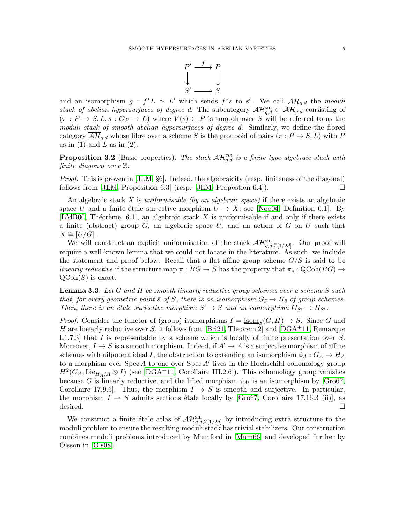

and an isomorphism  $g : f^*L \simeq L'$  which sends  $f^*s$  to  $s'$ . We call  $\mathcal{AH}_{g,d}$  the *moduli stack of abelian hypersurfaces of degree d.* The subcategory  $\mathcal{AH}_{g,d}^{\rm sm} \subset \mathcal{AH}_{g,d}$  consisting of  $(\pi : P \to S, L, s : \mathcal{O}_P \to L)$  where  $V(s) \subset P$  is smooth over S will be referred to as the *moduli stack of smooth abelian hypersurfaces of degree d*. Similarly, we define the fibred category  $\mathcal{AH}_{q,d}$  whose fibre over a scheme S is the groupoid of pairs  $(\pi : P \to S, L)$  with P as in  $(1)$  and L as in  $(2)$ .

<span id="page-4-1"></span>**Proposition 3.2** (Basic properties). The stack  $AH_{g,d}^{sm}$  is a finite type algebraic stack with *finite diagonal over* Z*.*

*Proof.* This is proven in [\[JLM,](#page-13-7) §6]. Indeed, the algebraicity (resp. finiteness of the diagonal) follows from [\[JLM,](#page-13-7) Proposition 6.3] (resp. [JLM, Propostion 6.4]).  $\Box$ 

An algebraic stack X is *uniformisable (by an algebraic space)* if there exists an algebraic space U and a finite étale surjective morphism  $U \to X$ ; see [\[Noo04,](#page-13-14) Definition 6.1]. By [\[LMB00,](#page-13-15) Théorème. 6.1], an algebraic stack X is uniformisable if and only if there exists a finite (abstract) group  $G$ , an algebraic space  $U$ , and an action of  $G$  on  $U$  such that  $X \cong [U/G].$ 

We will construct an explicit uniformisation of the stack  $\mathcal{AH}_{g,d,\mathbb{Z}[1/2d]}^{\text{sm}}$ . Our proof will require a well-known lemma that we could not locate in the literature. As such, we include the statement and proof below. Recall that a flat affine group scheme  $G/S$  is said to be *linearly reductive* if the structure map  $\pi : BG \to S$  has the property that  $\pi_* : Q\text{Coh}(BG) \to$  $\mathrm{QCoh}(S)$  is exact.

<span id="page-4-0"></span>Lemma 3.3. *Let* G *and* H *be smooth linearly reductive group schemes over a scheme* S *such that, for every geometric point*  $\bar{s}$  *of* S, there is an isomorphism  $G_{\bar{s}} \to H_{\bar{s}}$  of group schemes. *Then, there is an étale surjective morphism*  $S' \to S$  *and an isomorphism*  $G_{S'} \to H_{S'}$ *.* 

*Proof.* Consider the functor of (group) isomorphisms  $I = \underline{\text{Isom}}_S(G, H) \to S$ . Since G and H are linearly reductive over S, it follows from [Bri21, Theorem 2] and [\[DGA](#page-12-5)+11, Remarque I.1.7.3] that I is representable by a scheme which is locally of finite presentation over  $S$ . Moreover,  $I \to S$  is a smooth morphism. Indeed, if  $A' \to A$  is a surjective morphism of affine schemes with nilpotent ideal I, the obstruction to extending an isomorphism  $\phi_A: G_A \to H_A$ to a morphism over Spec A to one over Spec A' lives in the Hochschild cohomology group  $H^2(G_A, \text{Lie}_{H_A/A} \otimes I)$  (see [\[DGA](#page-12-5)<sup>+</sup>11, Corollaire III.2.6]). This cohomology group vanishes because G is linearly reductive, and the lifted morphism  $\phi_{A'}$  is an isomorphism by [\[Gro67,](#page-13-16) Corollaire 17.9.5]. Thus, the morphism  $I \rightarrow S$  is smooth and surjective. In particular, the morphism  $I \to S$  admits sections étale locally by [\[Gro67,](#page-13-16) Corollaire 17.16.3 (ii)], as desired.

We construct a finite étale atlas of  $\mathcal{AH}_{g,d,\mathbb{Z}[1/2d]}^{\rm sm}$  by introducing extra structure to the moduli problem to ensure the resulting moduli stack has trivial stabilizers. Our construction combines moduli problems introduced by Mumford in [\[Mum66\]](#page-13-17) and developed further by Olsson in [\[Ols08\]](#page-13-11).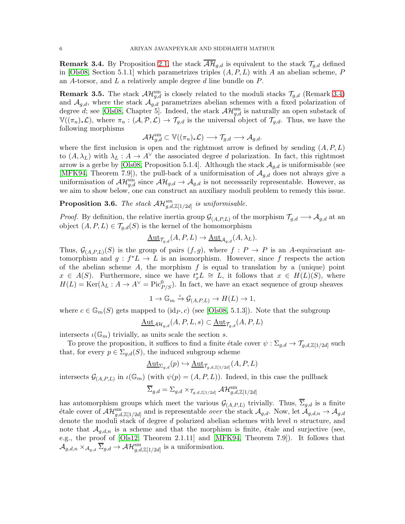<span id="page-5-1"></span>**Remark 3.4.** By Proposition [2.1,](#page-2-0) the stack  $\overline{\mathcal{AH}}_{g,d}$  is equivalent to the stack  $\mathcal{T}_{g,d}$  defined in [\[Ols08,](#page-13-11) Section 5.1.1] which parametrizes triples  $(A, P, L)$  with A an abelian scheme, P an A-torsor, and  $L$  a relatively ample degree  $d$  line bundle on  $P$ .

**Remark 3.5.** The stack  $\mathcal{AH}_{g,d}^{\text{sm}}$  is closely related to the moduli stacks  $\mathcal{T}_{g,d}$  (Remark [3.4\)](#page-5-1) and  $\mathcal{A}_{g,d}$ , where the stack  $\mathcal{A}_{g,d}$  parametrizes abelian schemes with a fixed polarization of degree d; see [\[Ols08,](#page-13-11) Chapter 5]. Indeed, the stack  $\mathcal{AH}_{g,d}^{\text{sm}}$  is naturally an open substack of  $\mathbb{V}((\pi_u)_*\mathcal{L})$ , where  $\pi_u:(\mathcal{A},\mathcal{P},\mathcal{L})\to \mathcal{T}_{q,d}$  is the universal object of  $\mathcal{T}_{q,d}$ . Thus, we have the following morphisms

$$
\mathcal{AH}_{g,d}^{\mathrm{sm}}\subset \mathbb{V}((\pi_u)_*\mathcal{L})\longrightarrow \mathcal{T}_{g,d}\longrightarrow \mathcal{A}_{g,d}.
$$

where the first inclusion is open and the rightmost arrow is defined by sending  $(A, P, L)$ to  $(A, \lambda_L)$  with  $\lambda_L : A \to A^{\vee}$  the associated degree d polarization. In fact, this rightmost arrow is a gerbe by [\[Ols08,](#page-13-11) Proposition 5.1.4]. Although the stack  $A_{q,d}$  is uniformisable (see [\[MFK94,](#page-13-18) Theorem 7.9]), the pull-back of a uniformisation of  $\mathcal{A}_{q,d}$  does not always give a uniformisation of  $\mathcal{AH}_{g,d}^{\rm sm}$  since  $\mathcal{AH}_{g,d} \to \mathcal{A}_{g,d}$  is not necessarily representable. However, as we aim to show below, one can construct an auxiliary moduli problem to remedy this issue.

<span id="page-5-0"></span>**Proposition 3.6.** The stack  $\mathcal{AH}_{g,d,\mathbb{Z}[1/2d]}^{sm}$  is uniformisable.

*Proof.* By definition, the relative inertia group  $\mathcal{G}_{(A,P,L)}$  of the morphism  $\mathcal{T}_{g,d} \longrightarrow \mathcal{A}_{g,d}$  at an object  $(A, P, L) \in \mathcal{T}_{q,d}(S)$  is the kernel of the homomorphism

$$
\underline{\mathrm{Aut}}_{\mathcal{T}_{g,d}}(A,P,L) \to \underline{\mathrm{Aut}}_{\mathcal{A}_{g,d}}(A,\lambda_L).
$$

Thus,  $\mathcal{G}_{(A,P,L)}(S)$  is the group of pairs  $(f,g)$ , where  $f: P \to P$  is an A-equivariant automorphism and  $g : f^*L \to L$  is an isomorphism. However, since f respects the action of the abelian scheme A, the morphism  $f$  is equal to translation by a (unique) point  $x \in A(S)$ . Furthermore, since we have  $t_x^*L \cong L$ , it follows that  $x \in H(L)(S)$ , where  $H(L) = \text{Ker}(\lambda_L : A \to A^{\vee} = \text{Pic}^0_{P/S})$ . In fact, we have an exact sequence of group sheaves

$$
1 \to \mathbb{G}_m \stackrel{\iota}{\to} \mathcal{G}_{(A,P,L)} \to H(L) \to 1,
$$

where  $c \in \mathbb{G}_m(S)$  gets mapped to  $(\text{id}_P, c)$  (see [\[Ols08,](#page-13-11) 5.1.3]). Note that the subgroup

$$
\underline{\mathrm{Aut}}_{\mathcal{AH}_{g,d}}(A,P,L,s)\subset\underline{\mathrm{Aut}}_{\mathcal{T}_{g,d}}(A,P,L)
$$

intersects  $\iota(\mathbb{G}_m)$  trivially, as units scale the section s.

To prove the proposition, it suffices to find a finite étale cover  $\psi : \Sigma_{g,d} \to \mathcal{T}_{g,d,\mathbb{Z}[1/2d]}$  such that, for every  $p \in \Sigma_{g,d}(S)$ , the induced subgroup scheme

$$
\underline{\mathrm{Aut}_{\Sigma_{g,d}}}(p) \hookrightarrow \underline{\mathrm{Aut}}_{\mathcal{T}_{g,d,\mathbb{Z}[1/2d]}}(A,P,L)
$$

intersects  $\mathcal{G}_{(A,P,L)}$  in  $\iota(\mathbb{G}_m)$  (with  $\psi(p) = (A, P, L)$ ). Indeed, in this case the pullback

$$
\overline{\Sigma}_{g,d} = \Sigma_{g,d} \times_{\mathcal{T}_g,d,\mathbb{Z}[1/2d]} \mathcal{AH}_{g,d,\mathbb{Z}[1/2d]}^{\mathrm{sm}}
$$

has automorphism groups which meet the various  $\mathcal{G}_{(A,P,L)}$  trivially. Thus,  $\Sigma_{g,d}$  is a finite  $\det$  detail cover of  $\mathcal{AH}_{g,d,\mathbb{Z}[1/2d]}^{\text{sm}}$  and is representable *over* the stack  $\mathcal{A}_{g,d}$ . Now, let  $\mathcal{A}_{g,d,n} \to \mathcal{A}_{g,d}$ denote the moduli stack of degree d polarized abelian schemes with level n structure, and note that  $\mathcal{A}_{g,d,n}$  is a scheme and that the morphism is finite, étale and surjective (see, e.g., the proof of [\[Ols12,](#page-13-13) Theorem 2.1.11] and [\[MFK94,](#page-13-18) Theorem 7.9]). It follows that  $\mathcal{A}_{g,d,n} \times_{\mathcal{A}_{g,d}} \overline{\Sigma}_{g,d} \to \mathcal{AH}_{g,d,\mathbb{Z}[1/2d]}^{\rm sm}$  is a uniformisation.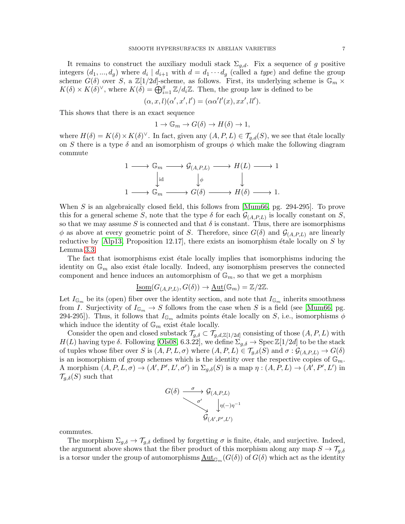It remains to construct the auxiliary moduli stack  $\Sigma_{g,d}$ . Fix a sequence of g positive integers  $(d_1, ..., d_g)$  where  $d_i | d_{i+1}$  with  $d = d_1 \cdots d_g$  (called a *type*) and define the group scheme  $G(\delta)$  over S, a  $\mathbb{Z}[1/2d]$ -scheme, as follows. First, its underlying scheme is  $\mathbb{G}_m \times$  $K(\delta) \times K(\delta)^{\vee}$ , where  $K(\delta) = \bigoplus_{i=1}^{g} \mathbb{Z}/d_i\mathbb{Z}$ . Then, the group law is defined to be

$$
(\alpha, x, l)(\alpha', x', l') = (\alpha \alpha' l'(x), xx', ll').
$$

This shows that there is an exact sequence

$$
1 \to \mathbb{G}_m \to G(\delta) \to H(\delta) \to 1,
$$

where  $H(\delta) = K(\delta) \times K(\delta)^{\vee}$ . In fact, given any  $(A, P, L) \in \mathcal{T}_{g,d}(S)$ , we see that étale locally on S there is a type  $\delta$  and an isomorphism of groups  $\phi$  which make the following diagram commute

$$
\begin{array}{ccc}\n1 & \longrightarrow & \mathbb{G}_m \longrightarrow \mathcal{G}_{(A,P,L)} \longrightarrow H(L) \longrightarrow 1 \\
\downarrow \text{id} & \downarrow \phi & \downarrow \quad \downarrow \\
1 & \longrightarrow & \mathbb{G}_m \longrightarrow G(\delta) \longrightarrow H(\delta) \longrightarrow 1.\n\end{array}
$$

When S is an algebraically closed field, this follows from [\[Mum66,](#page-13-17) pg. 294-295]. To prove this for a general scheme S, note that the type  $\delta$  for each  $\mathcal{G}_{(A,P,L)}$  is locally constant on S, so that we may assume S is connected and that  $\delta$  is constant. Thus, there are isomorphisms  $\phi$  as above at every geometric point of S. Therefore, since  $G(\delta)$  and  $\mathcal{G}_{(A,P,L)}$  are linearly reductive by  $[A]$ p13, Proposition 12.17, there exists an isomorphism étale locally on S by Lemma [3.3.](#page-4-0)

The fact that isomorphisms exist étale locally implies that isomorphisms inducing the identity on  $\mathbb{G}_m$  also exist étale locally. Indeed, any isomorphism preserves the connected component and hence induces an automorphism of  $\mathbb{G}_m$ , so that we get a morphism

$$
\underline{\mathrm{Isom}}(G_{(A,P,L)}, G(\delta)) \to \underline{\mathrm{Aut}}(\mathbb{G}_m) = \mathbb{Z}/2\mathbb{Z}.
$$

Let  $I_{\mathbb{G}_m}$  be its (open) fiber over the identity section, and note that  $I_{\mathbb{G}_m}$  inherits smoothness from I. Surjectivity of  $I_{\mathbb{G}_m} \to S$  follows from the case when S is a field (see [\[Mum66,](#page-13-17) pg. 294-295]). Thus, it follows that  $I_{\mathbb{G}_m}$  admits points étale locally on S, i.e., isomorphisms  $\phi$ which induce the identity of  $\mathbb{G}_m$  exist étale locally.

Consider the open and closed substack  $\mathcal{T}_{g,\delta} \subset \mathcal{T}_{g,d,\mathbb{Z}[1/2d]}$  consisting of those  $(A, P, L)$  with  $H(L)$  having type  $\delta$ . Following [\[Ols08,](#page-13-11) 6.3.22], we define  $\Sigma_{g,\delta} \to \text{Spec } \mathbb{Z}[1/2d]$  to be the stack of tuples whose fiber over S is  $(A, P, L, \sigma)$  where  $(A, P, L) \in \mathcal{T}_{q,\delta}(S)$  and  $\sigma : \mathcal{G}_{(A, P, L)} \to G(\delta)$ is an isomorphism of group schemes which is the identity over the respective copies of  $\mathbb{G}_m$ . A morphism  $(A, P, L, \sigma) \rightarrow (A', P', L', \sigma')$  in  $\Sigma_{g,\delta}(S)$  is a map  $\eta : (A, P, L) \rightarrow (A', P', L')$  in  $\mathcal{T}_{g,\delta}(S)$  such that



commutes.

The morphism  $\Sigma_{q,\delta} \to \mathcal{T}_{q,\delta}$  defined by forgetting  $\sigma$  is finite, étale, and surjective. Indeed, the argument above shows that the fiber product of this morphism along any map  $S \to \mathcal{T}_{g,\delta}$ is a torsor under the group of automorphisms  $\underline{\mathrm{Aut}}_{\mathbb{G}_m}(G(\delta))$  of  $G(\delta)$  which act as the identity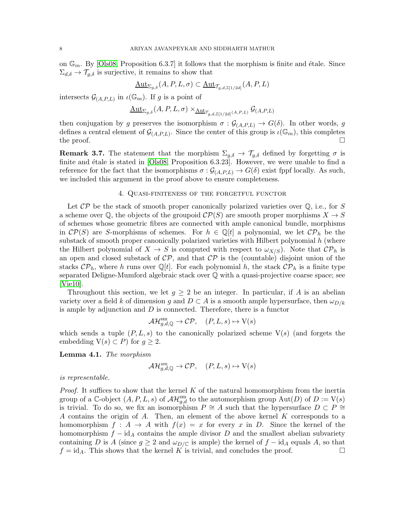on  $\mathbb{G}_m$ . By [\[Ols08,](#page-13-11) Proposition 6.3.7] it follows that the morphism is finite and étale. Since  $\Sigma_{d,\delta} \to \mathcal{T}_{q,\delta}$  is surjective, it remains to show that

$$
\underline{\mathrm{Aut}}_{\Sigma_{g,\delta}}(A,P,L,\sigma) \subset \underline{\mathrm{Aut}}_{\mathcal{T}_{g,d,\mathbb{Z}[1/2d]}}(A,P,L)
$$

intersects  $\mathcal{G}_{(A,P,L)}$  in  $\iota(\mathbb{G}_m)$ . If g is a point of

$$
\underline{\mathrm{Aut}_{\Sigma_{g,\delta}}}(A,P,L,\sigma)\times_{\underline{\mathrm{Aut}}_{\mathcal{T}_{g,d,\mathbb{Z}[1/2d]}(A,P,L)}}\mathcal{G}_{(A,P,L)}
$$

then conjugation by g preserves the isomorphism  $\sigma : \mathcal{G}_{(A,P,L)} \to G(\delta)$ . In other words, g defines a central element of  $\mathcal{G}_{(A,P,L)}$ . Since the center of this group is  $\iota(\mathbb{G}_m)$ , this completes the proof.  $\Box$ 

**Remark 3.7.** The statement that the morphism  $\Sigma_{g,\delta} \to \mathcal{T}_{g,\delta}$  defined by forgetting  $\sigma$  is finite and étale is stated in  $[Ols08,$  Proposition 6.3.23]. However, we were unable to find a reference for the fact that the isomorphisms  $\sigma : \mathcal{G}_{(A,P,L)} \to G(\delta)$  exist fppf locally. As such, we included this argument in the proof above to ensure completeness.

#### 4. Quasi-finiteness of the forgetful functor

Let  $\mathcal{CP}$  be the stack of smooth proper canonically polarized varieties over  $\mathbb{Q}$ , i.e., for S a scheme over  $\mathbb{Q}$ , the objects of the groupoid  $\mathcal{CP}(S)$  are smooth proper morphisms  $X \to S$ of schemes whose geometric fibres are connected with ample canonical bundle, morphisms in  $\mathcal{CP}(S)$  are S-morphisms of schemes. For  $h \in \mathbb{Q}[t]$  a polynomial, we let  $\mathcal{CP}_h$  be the substack of smooth proper canonically polarized varieties with Hilbert polynomial  $h$  (where the Hilbert polynomial of  $X \to S$  is computed with respect to  $\omega_{X/S}$ ). Note that  $\mathcal{CP}_h$  is an open and closed substack of  $\mathcal{CP}$ , and that  $\mathcal{CP}$  is the (countable) disjoint union of the stacks  $\mathcal{CP}_h$ , where h runs over Q[t]. For each polynomial h, the stack  $\mathcal{CP}_h$  is a finite type separated Deligne-Mumford algebraic stack over Q with a quasi-projective coarse space; see [\[Vie10\]](#page-14-2).

Throughout this section, we let  $g \geq 2$  be an integer. In particular, if A is an abelian variety over a field k of dimension g and  $D \subset A$  is a smooth ample hypersurface, then  $\omega_{D/k}$ is ample by adjunction and  $D$  is connected. Therefore, there is a functor

$$
\mathcal{AH}_{g,d,\mathbb{Q}}^{\text{sm}} \to \mathcal{CP}, \quad (P, L, s) \mapsto \text{V}(s)
$$

which sends a tuple  $(P, L, s)$  to the canonically polarized scheme  $V(s)$  (and forgets the embedding  $V(s) \subset P$  for  $q \geq 2$ .

<span id="page-7-0"></span>Lemma 4.1. *The morphism*

$$
\mathcal{AH}_{g,d,\mathbb{Q}}^{sm}\to\mathcal{CP},\quad (P,L,s)\mapsto\mathrm{V}(s)
$$

*is representable.*

*Proof.* It suffices to show that the kernel K of the natural homomorphism from the inertia group of a C-object  $(A, P, L, s)$  of  $\mathcal{AH}_{g,d}^{\rm sm}$  to the automorphism group  $\text{Aut}(D)$  of  $D := V(s)$ is trivial. To do so, we fix an isomorphism  $P \cong A$  such that the hypersurface  $D \subset P \cong \mathbb{Z}$ A contains the origin of A. Then, an element of the above kernel K corresponds to a homomorphism  $f : A \to A$  with  $f(x) = x$  for every x in D. Since the kernel of the homomorphism  $f - id_A$  contains the ample divisor D and the smallest abelian subvariety containing D is A (since  $g \geq 2$  and  $\omega_{D/\mathbb{C}}$  is ample) the kernel of  $f - id_A$  equals A, so that  $f = id_A$ . This shows that the kernel K is trivial, and concludes the proof.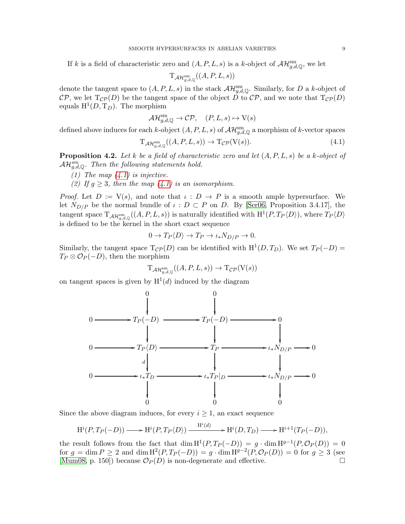If k is a field of characteristic zero and  $(A, P, L, s)$  is a k-object of  $\mathcal{AH}_{g,d,\mathbb{Q}}^{\text{sm}}$ , we let

$$
\mathrm{T}_{\mathcal{AH}_{g,d,\mathbb{Q}}^{\mathrm{sm}}}((A,P,L,s))
$$

denote the tangent space to  $(A, P, L, s)$  in the stack  $\mathcal{AH}_{g,d,\mathbb{Q}}^{\text{sm}}$ . Similarly, for D a k-object of CP, we let  $T_{\mathcal{CP}}(D)$  be the tangent space of the object D to CP, and we note that  $T_{\mathcal{CP}}(D)$ equals  $H^1(D, T_D)$ . The morphism

$$
\mathcal{AH}_{g,d,\mathbb{Q}}^{\text{sm}} \to \mathcal{CP}, \quad (P, L, s) \mapsto \text{V}(s)
$$

defined above induces for each k-object  $(A, P, L, s)$  of  $\mathcal{AH}_{g,d,\mathbb{Q}}^{\text{sm}}$  a morphism of k-vector spaces

<span id="page-8-0"></span>
$$
T_{\mathcal{AH}_{g,d,\mathbb{Q}}^{\text{sm}}}((A,P,L,s)) \to T_{\mathcal{CP}}(V(s)).\tag{4.1}
$$

<span id="page-8-1"></span>Proposition 4.2. *Let* k *be a field of characteristic zero and let* (A, P, L, s) *be a* k*-object of*  $\mathcal{AH}_{g,d,\mathbb{Q}}^{sm}.$  Then the following statements hold.

- *(1) The map [\(4.1\)](#page-8-0) is injective.*
- *(2)* If  $g \geq 3$ *, then the map*  $(4.1)$  *is an isomorphism.*

*Proof.* Let  $D := V(s)$ , and note that  $\iota : D \to P$  is a smooth ample hypersurface. We let  $N_{D/P}$  be the normal bundle of  $\iota : D \subset P$  on D. By [\[Ser06,](#page-14-3) Proposition 3.4.17], the tangent space  $T_{\mathcal{AH}_{g,d,\mathbb{Q}}^{\text{sm}}}((A, P, L, s))$  is naturally identified with  $\mathrm{H}^1(P, T_P\langle D \rangle)$ , where  $T_P\langle D \rangle$ is defined to be the kernel in the short exact sequence

$$
0 \to T_P \langle D \rangle \to T_P \to \iota_* N_{D/P} \to 0.
$$

Similarly, the tangent space  $T_{\mathcal{CP}}(D)$  can be identified with  $H^1(D, T_D)$ . We set  $T_P(-D)$  $T_P \otimes \mathcal{O}_P(-D)$ , then the morphism

$$
\mathrm{T}_{\mathcal{AH}^{\mathrm{sm}}_{g,d,\mathbb{Q}}((A,P,L,s))\to \mathrm{T}_{\mathcal{CP}}(\mathrm{V}(s))
$$

on tangent spaces is given by  $H^1(d)$  induced by the diagram (d) induced by the diagram



Since the above diagram induces, for every  $i \geq 1$ , an exact sequence

$$
H^{i}(P, T_{P}(-D)) \longrightarrow H^{i}(P, T_{P}\langle D \rangle) \xrightarrow{H^{i}(d)} H^{i}(D, T_{D}) \longrightarrow H^{i+1}(T_{P}(-D)),
$$

the result follows from the fact that  $\dim H^1(P, T_P(-D)) = g \cdot \dim H^{g-1}(P, \mathcal{O}_P(D)) = 0$ for  $g = \dim P \ge 2$  and  $\dim H^2(P, T_P(-D)) = g \cdot \dim H^{g-2}(P, \mathcal{O}_P(D)) = 0$  for  $g \ge 3$  (see [\[Mum08,](#page-13-19) p. 150]) because  $\mathcal{O}_P(D)$  is non-degenerate and effective.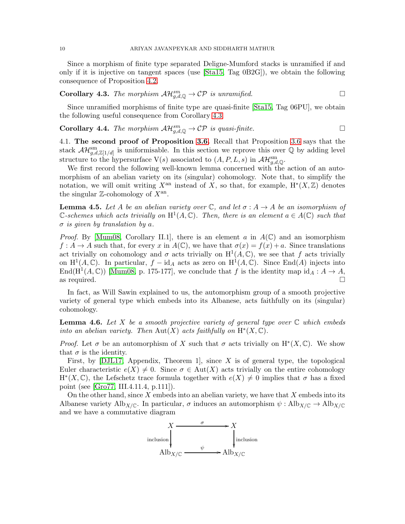Since a morphism of finite type separated Deligne-Mumford stacks is unramified if and only if it is injective on tangent spaces (use [\[Sta15,](#page-14-4) Tag 0B2G]), we obtain the following consequence of Proposition [4.2.](#page-8-1)

<span id="page-9-2"></span>Corollary 4.3. The morphism 
$$
\mathcal{AH}_{g,d,\mathbb{Q}}^{sm} \to \mathcal{CP}
$$
 is unramified.

Since unramified morphisms of finite type are quasi-finite [\[Sta15,](#page-14-4) Tag 06PU], we obtain the following useful consequence from Corollary [4.3.](#page-9-2)

<span id="page-9-0"></span>**Corollary 4.4.** *The morphism*  $\mathcal{AH}_{g,d,\mathbb{Q}}^{sm} \to \mathcal{CP}$  *is quasi-finite.* 

4.1. The second proof of Proposition [3.6.](#page-5-0) Recall that Proposition [3.6](#page-5-0) says that the stack  $\mathcal{AH}_{g,d,\mathbb{Z}[1/d]}^{\text{sm}}$  is uniformisable. In this section we reprove this over  $\mathbb Q$  by adding level structure to the hypersurface  $V(s)$  associated to  $(A, P, L, s)$  in  $\mathcal{AH}_{g,d,\mathbb{Q}}^{\text{sm}}$ .

We first record the following well-known lemma concerned with the action of an automorphism of an abelian variety on its (singular) cohomology. Note that, to simplify the notation, we will omit writing  $X^{\text{an}}$  instead of  $X$ , so that, for example,  $H^*(X, \mathbb{Z})$  denotes the singular  $\mathbb{Z}$ -cohomology of  $X^{\text{an}}$ .

<span id="page-9-3"></span>**Lemma 4.5.** Let A be an abelian variety over  $\mathbb{C}$ , and let  $\sigma : A \to A$  be an isomorphism of  $\mathbb{C}\text{-}schemes which acts trivially on  $\mathrm{H}^1(A,\mathbb{C})$ . Then, there is an element  $a \in A(\mathbb{C})$  such that$ σ *is given by translation by* a*.*

*Proof.* By [\[Mum08,](#page-13-19) Corollary II.1], there is an element a in  $A(\mathbb{C})$  and an isomorphism  $f: A \to A$  such that, for every x in  $A(\mathbb{C})$ , we have that  $\sigma(x) = f(x) + a$ . Since translations act trivially on cohomology and  $\sigma$  acts trivially on  $H^1(A,\mathbb{C})$ , we see that f acts trivially on  $H^1(A, \mathbb{C})$ . In particular,  $f - id_A$  acts as zero on  $H^1(A, \mathbb{C})$ . Since End(A) injects into End( $H^1(A, \mathbb{C})$ ) [\[Mum08,](#page-13-19) p. 175-177], we conclude that f is the identity map  $id_A : A \to A$ , as required.  $\Box$ 

In fact, as Will Sawin explained to us, the automorphism group of a smooth projective variety of general type which embeds into its Albanese, acts faithfully on its (singular) cohomology.

<span id="page-9-1"></span>Lemma 4.6. *Let* X *be a smooth projective variety of general type over* C *which embeds into an abelian variety. Then*  $\text{Aut}(X)$  *acts faithfully on*  $H^*(X, \mathbb{C})$ *.* 

*Proof.* Let  $\sigma$  be an automorphism of X such that  $\sigma$  acts trivially on H<sup>\*</sup>(X, C). We show that  $\sigma$  is the identity.

First, by  $[DJL17,$  Appendix, Theorem 1, since X is of general type, the topological Euler characteristic  $e(X) \neq 0$ . Since  $\sigma \in Aut(X)$  acts trivially on the entire cohomology  $H^*(X, \mathbb{C})$ , the Lefschetz trace formula together with  $e(X) \neq 0$  implies that  $\sigma$  has a fixed point (see [\[Gro77,](#page-13-20) III.4.11.4, p.111]).

On the other hand, since  $X$  embeds into an abelian variety, we have that  $X$  embeds into its Albanese variety Alb<sub>X/C</sub>. In particular,  $\sigma$  induces an automorphism  $\psi : \text{Alb}_{X/\mathbb{C}} \to \text{Alb}_{X/\mathbb{C}}$ and we have a commutative diagram

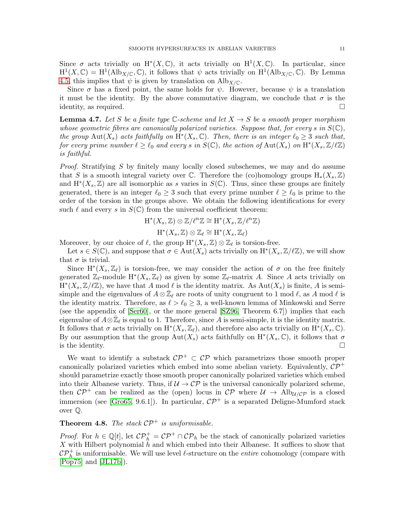Since  $\sigma$  acts trivially on H<sup>\*</sup>(X, C), it acts trivially on H<sup>1</sup>(X, C). In particular, since  $H^1(X,\mathbb{C}) = H^1(\text{Alb}_{X/\mathbb{C}},\mathbb{C}),$  it follows that  $\psi$  acts trivially on  $H^1(\text{Alb}_{X/\mathbb{C}},\mathbb{C}).$  By Lemma [4.5,](#page-9-3) this implies that  $\psi$  is given by translation on Alb $_{X/\mathbb{C}}$ .

Since  $\sigma$  has a fixed point, the same holds for  $\psi$ . However, because  $\psi$  is a translation it must be the identity. By the above commutative diagram, we conclude that  $\sigma$  is the identity, as required.  $\square$ 

<span id="page-10-0"></span>**Lemma 4.7.** Let S be a finite type  $\mathbb{C}$ -scheme and let  $X \to S$  be a smooth proper morphism *whose geometric fibres are canonically polarized varieties. Suppose that, for every s in*  $S(\mathbb{C})$ , *the group*  $Aut(X_s)$  *acts faithfully on*  $H^*(X_s, \mathbb{C})$ *. Then, there is an integer*  $\ell_0 \geq 3$  *such that,*  $f$ or every prime number  $\ell \geq \ell_0$  and every  $s$  in  $S(\mathbb{C})$ , the action of  $\text{Aut}(X_s)$  on  $\text{H}^*(X_s,\mathbb{Z}/\ell\mathbb{Z})$ *is faithful.*

*Proof.* Stratifying S by finitely many locally closed subschemes, we may and do assume that S is a smooth integral variety over  $\mathbb C$ . Therefore the (co)homology groups  $H_*(X_s,\mathbb Z)$ and  $H^*(X_s, \mathbb{Z})$  are all isomorphic as s varies in  $S(\mathbb{C})$ . Thus, since these groups are finitely generated, there is an integer  $\ell_0 \geq 3$  such that every prime number  $\ell \geq \ell_0$  is prime to the order of the torsion in the groups above. We obtain the following identifications for every such  $\ell$  and every s in  $S(\mathbb{C})$  from the universal coefficient theorem:

$$
H^*(X_s, \mathbb{Z}) \otimes \mathbb{Z}/\ell^n \mathbb{Z} \cong H^*(X_s, \mathbb{Z}/\ell^n \mathbb{Z})
$$
  

$$
H^*(X_s, \mathbb{Z}) \otimes \mathbb{Z}_\ell \cong H^*(X_s, \mathbb{Z}_\ell)
$$

Moreover, by our choice of  $\ell$ , the group  $H^*(X_s, \mathbb{Z}) \otimes \mathbb{Z}_\ell$  is torsion-free.

Let  $s \in S(\mathbb{C})$ , and suppose that  $\sigma \in Aut(X_s)$  acts trivially on  $\mathrm{H}^*(X_s, \mathbb{Z}/\ell \mathbb{Z})$ , we will show that  $\sigma$  is trivial.

Since  $H^*(X_s, \mathbb{Z}_\ell)$  is torsion-free, we may consider the action of  $\sigma$  on the free finitely generated  $\mathbb{Z}_{\ell}$ -module  $H^*(X_s, \mathbb{Z}_{\ell})$  as given by some  $\mathbb{Z}_{\ell}$ -matrix A. Since A acts trivially on  $\mathcal{H}^*(X_s, \mathbb{Z}/\ell\mathbb{Z})$ , we have that A mod  $\ell$  is the identity matrix. As  $\mathrm{Aut}(X_s)$  is finite, A is semisimple and the eigenvalues of  $A \otimes \overline{\mathbb{Z}}_{\ell}$  are roots of unity congruent to 1 mod  $\ell$ , as A mod  $\ell$  is the identity matrix. Therefore, as  $\ell > \ell_0 \geq 3$ , a well-known lemma of Minkowski and Serre (see the appendix of [\[Ser60\]](#page-14-5), or the more general [\[SZ96,](#page-14-6) Theorem 6.7]) implies that each eigenvalue of  $A \otimes \bar{\mathbb{Z}}_{\ell}$  is equal to 1. Therefore, since A is semi-simple, it is the identity matrix. It follows that  $\sigma$  acts trivially on  $\mathrm{H}^*(X_s, \mathbb{Z}_\ell)$ , and therefore also acts trivially on  $\mathrm{H}^*(X_s, \mathbb{C})$ . By our assumption that the group  $\text{Aut}(X_s)$  acts faithfully on  $\text{H}^*(X_s,\mathbb{C})$ , it follows that  $\sigma$ is the identity.  $\Box$ 

We want to identify a substack  $\mathcal{CP}^+ \subset \mathcal{CP}$  which parametrizes those smooth proper canonically polarized varieties which embed into some abelian variety. Equivalently,  $\mathcal{CP}^+$ should parametrize exactly those smooth proper canonically polarized varieties which embed into their Albanese variety. Thus, if  $\mathcal{U} \to \mathcal{CP}$  is the universal canonically polarized scheme, then  $\mathcal{CP}^+$  can be realized as the (open) locus in  $\mathcal{CP}$  where  $\mathcal{U} \rightarrow \text{Alb}_{\mathcal{U}/\mathcal{CP}}$  is a closed immersion (see [\[Gro65,](#page-13-21) 9.6.1]). In particular,  $\mathcal{CP}^+$  is a separated Deligne-Mumford stack over Q.

## <span id="page-10-1"></span>**Theorem 4.8.** *The stack*  $\mathcal{CP}^+$  *is uniformisable.*

*Proof.* For  $h \in \mathbb{Q}[t]$ , let  $\mathcal{CP}_h^+ = \mathcal{CP}^+ \cap \mathcal{CP}_h$  be the stack of canonically polarized varieties X with Hilbert polynomial  $h$  and which embed into their Albanese. It suffices to show that  $\mathcal{CP}_h^+$  is uniformisable. We will use level  $\ell$ -structure on the *entire* cohomology (compare with [\[Pop75\]](#page-13-22) and [\[JL17b\]](#page-13-23)).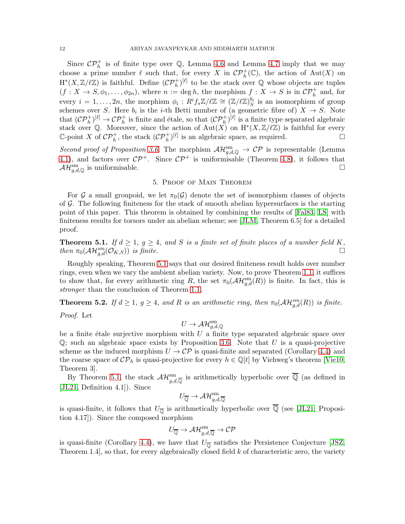Since  $\mathcal{CP}_h^+$  is of finite type over  $\mathbb{Q}$ , Lemma [4.6](#page-9-1) and Lemma [4.7](#page-10-0) imply that we may choose a prime number  $\ell$  such that, for every X in  $\mathcal{CP}_h^+(\mathbb{C})$ , the action of  $\mathrm{Aut}(X)$  on  $H^*(X,\mathbb{Z}/\ell\mathbb{Z})$  is faithful. Define  $(\mathcal{CP}_h^+)^{[\ell]}$  to be the stack over Q whose objects are tuples  $(f: X \to S, \phi_1, \ldots, \phi_{2n}),$  where  $n := \deg h$ , the morphism  $f: X \to S$  is in  $\mathcal{CP}_h^+$  and, for every  $i=1,\ldots,2n$ , the morphism  $\phi_i: R^if_*\mathbb{Z}/\ell\mathbb{Z} \cong (\mathbb{Z}/\ell\mathbb{Z})_S^{b_i}$  is an isomorphism of group schemes over S. Here  $b_i$  is the *i*-th Betti number of (a geometric fibre of)  $X \to S$ . Note that  $(C\mathcal{P}_h^+)^{[\ell]} \to C\mathcal{P}_h^+$  is finite and étale, so that  $(C\mathcal{P}_h^+)^{[\ell]}$  is a finite type separated algebraic stack over Q. Moreover, since the action of  $\text{Aut}(X)$  on  $H^*(X,\mathbb{Z}/\ell\mathbb{Z})$  is faithful for every C-point X of  $\mathcal{CP}_h^+$ , the stack  $(\mathcal{CP}_h^+)^{[\ell]}$  is an algebraic space, as required.

*Second proof of Proposition [3.6.](#page-5-0)* The morphism  $\mathcal{AH}_{g,d,\mathbb{Q}}^{\text{sm}} \to \mathcal{CP}$  is representable (Lemma [4.1\)](#page-7-0), and factors over  $\mathcal{CP}^+$ . Since  $\mathcal{CP}^+$  is uniformisable (Theorem [4.8\)](#page-10-1), it follows that  $\mathcal{AH}_{g,d,\mathbb{Q}}^{\text{sm}}$  is uniformisable.

## 5. Proof of Main Theorem

For G a small groupoid, we let  $\pi_0(\mathcal{G})$  denote the set of isomorphism classes of objects of  $G$ . The following finiteness for the stack of smooth abelian hypersurfaces is the starting point of this paper. This theorem is obtained by combining the results of [\[Fal83,](#page-12-0) [LS\]](#page-13-0) with finiteness results for torsors under an abelian scheme; see [\[JLM,](#page-13-7) Theorem 6.5] for a detailed proof.

<span id="page-11-0"></span>**Theorem 5.1.** *If*  $d \geq 1$ ,  $g \geq 4$ , and S is a finite set of finite places of a number field K,  $\lim_{\sigma \to 0} \pi_0(\mathcal{AH}_{g,d}^{sm}(\mathcal{O}_{K,S}))$  *is finite.*  $\Box$ 

Roughly speaking, Theorem [5.1](#page-11-0) says that our desired finiteness result holds over number rings, even when we vary the ambient abelian variety. Now, to prove Theorem [1.1,](#page-0-0) it suffices to show that, for every arithmetic ring R, the set  $\pi_0(\mathcal{AH}_{g,d}^{\rm sm}(R))$  is finite. In fact, this is *stronger* than the conclusion of Theorem [1.1.](#page-0-0)

<span id="page-11-1"></span>**Theorem 5.2.** *If*  $d \geq 1$ ,  $g \geq 4$ , and R is an arithmetic ring, then  $\pi_0(\mathcal{AH}_{g,d}^{sm}(R))$  is finite.

*Proof.* Let

$$
U\to \mathcal{AH}_{g,d,\mathbb{Q}}^{\mathrm{sm}}
$$

be a finite étale surjective morphism with  $U$  a finite type separated algebraic space over  $\mathbb{Q}$ ; such an algebraic space exists by Proposition [3.6.](#page-5-0) Note that U is a quasi-projective scheme as the induced morphism  $U \to \mathcal{CP}$  is quasi-finite and separated (Corollary [4.4\)](#page-9-0) and the coarse space of  $\mathcal{CP}_h$  is quasi-projective for every  $h \in \mathbb{Q}[t]$  by Viehweg's theorem [\[Vie10,](#page-14-2) Theorem 3].

By Theorem [5.1,](#page-11-0) the stack  $\mathcal{AH}_{g,d,\overline{\mathbb{Q}}}^{\text{sm}}$  is arithmetically hyperbolic over  $\overline{\mathbb{Q}}$  (as defined in [\[JL21,](#page-13-5) Definition 4.1]). Since

$$
U_{\overline{\mathbb{Q}}}\to \mathcal{AH}_{g,d,\overline{\mathbb{Q}}}^{\mathrm{sm}}
$$

is quasi-finite, it follows that  $U_{\overline{\mathbb{Q}}}$  is arithmetically hyperbolic over  $\mathbb Q$  (see [\[JL21,](#page-13-5) Proposition 4.17]). Since the composed morphism

$$
U_{\overline{\mathbb{Q}}}\to \mathcal{AH}^{\mathrm{sm}}_{g,d,\overline{\mathbb{Q}}}\to \mathcal{CP}
$$

is quasi-finite (Corollary [4.4\)](#page-9-0), we have that  $U_{\overline{\mathbb{Q}}}$  satisfies the Persistence Conjecture [\[JSZ,](#page-13-6) Theorem 1.4, so that, for every algebraically closed field  $k$  of characteristic zero, the variety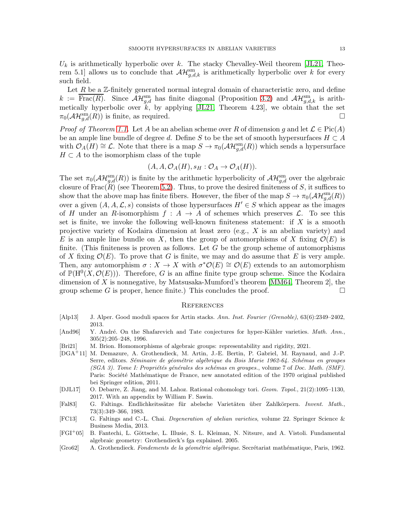$U_k$  is arithmetically hyperbolic over k. The stacky Chevalley-Weil theorem [\[JL21,](#page-13-5) Theorem 5.1] allows us to conclude that  $\mathcal{AH}_{g,d,k}^{\rm sm}$  is arithmetically hyperbolic over k for every such field.

Let  $R$  be a  $\mathbb{Z}$ -finitely generated normal integral domain of characteristic zero, and define  $k := \overline{\text{Frac}(R)}$ . Since  $\mathcal{AH}_{g,d}^{\text{sm}}$  has finite diagonal (Proposition [3.2\)](#page-4-1) and  $\mathcal{AH}_{g,d,k}^{\text{sm}}$  is arithmetically hyperbolic over  $k$ , by applying [\[JL21,](#page-13-5) Theorem 4.23], we obtain that the set  $\pi_0(\mathcal{AH}_{g,d}^{\text{sm}}(R))$  is finite, as required.

*Proof of Theorem [1.1.](#page-0-0)* Let A be an abelian scheme over R of dimension g and let  $\mathcal{L} \in \text{Pic}(A)$ be an ample line bundle of degree d. Define S to be the set of smooth hypersurfaces  $H \subset A$ with  $\mathcal{O}_A(H) \cong \mathcal{L}$ . Note that there is a map  $S \to \pi_0(\mathcal{AH}_{g,d}^{\rm sm}(R))$  which sends a hypersurface  $H \subset A$  to the isomorphism class of the tuple

$$
(A, A, \mathcal{O}_A(H), s_H : \mathcal{O}_A \to \mathcal{O}_A(H)).
$$

The set  $\pi_0(\mathcal{AH}_{g,d}^{\text{sm}}(R))$  is finite by the arithmetic hyperbolicity of  $\mathcal{AH}_{g,d}^{\text{sm}}$  over the algebraic closure of  $Frac(R)$  (see Theorem [5.2\)](#page-11-1). Thus, to prove the desired finiteness of S, it suffices to show that the above map has finite fibers. However, the fiber of the map  $S \to \pi_0(\mathcal{AH}_{g,d}^{\text{sm}}(R))$ over a given  $(A, A, \mathcal{L}, s)$  consists of those hypersurfaces  $H' \in S$  which appear as the images of H under an R-isomorphism  $f : A \to A$  of schemes which preserves  $\mathcal{L}$ . To see this set is finite, we invoke the following well-known finiteness statement: if  $X$  is a smooth projective variety of Kodaira dimension at least zero (e.g., X is an abelian variety) and E is an ample line bundle on X, then the group of automorphisms of X fixing  $\mathcal{O}(E)$  is finite. (This finiteness is proven as follows. Let  $G$  be the group scheme of automorphisms of X fixing  $\mathcal{O}(E)$ . To prove that G is finite, we may and do assume that E is very ample. Then, any automorphism  $\sigma: X \to X$  with  $\sigma^* \mathcal{O}(E) \cong \mathcal{O}(E)$  extends to an automorphism of  $\mathbb{P}(\mathrm{H}^{0}(X,\mathcal{O}(E)))$ . Therefore, G is an affine finite type group scheme. Since the Kodaira dimension of X is nonnegative, by Matsusaka-Mumford's theorem [\[MM64,](#page-13-24) Theorem 2], the group scheme G is proper, hence finite.) This concludes the proof.  $\Box$ 

#### **REFERENCES**

- <span id="page-12-6"></span>[Alp13] J. Alper. Good moduli spaces for Artin stacks. *Ann. Inst. Fourier (Grenoble)*, 63(6):2349–2402, 2013.
- <span id="page-12-1"></span>[And96] Y. André. On the Shafarevich and Tate conjectures for hyper-Kähler varieties. Math. Ann., 305(2):205–248, 1996.
- [Bri21] M. Brion. Homomorphisms of algebraic groups: representability and rigidity, 2021.
- <span id="page-12-5"></span>[DGA<sup>+</sup>11] M. Demazure, A. Grothendieck, M. Artin, J.-E. Bertin, P. Gabriel, M. Raynaud, and J.-P. Serre, editors. *Séminaire de géométrie algébrique du Bois Marie 1962-64. Schémas en groupes (SGA 3). Tome I: Propri´et´es g´en´erales des sch´emas en groupes.*, volume 7 of *Doc. Math. (SMF)*. Paris: Société Mathématique de France, new annotated edition of the 1970 original published bei Springer edition, 2011.
- <span id="page-12-7"></span>[DJL17] O. Debarre, Z. Jiang, and M. Lahoz. Rational cohomology tori. *Geom. Topol.*, 21(2):1095–1130, 2017. With an appendix by William F. Sawin.
- <span id="page-12-0"></span>[Fal83] G. Faltings. Endlichkeitssätze für abelsche Varietäten über Zahlkörpern. *Invent. Math.*, 73(3):349–366, 1983.
- <span id="page-12-4"></span>[FC13] G. Faltings and C.-L. Chai. *Degeneration of abelian varieties*, volume 22. Springer Science & Business Media, 2013.
- <span id="page-12-3"></span>[FGI+05] B. Fantechi, L. Göttsche, L. Illusie, S. L. Kleiman, N. Nitsure, and A. Vistoli. Fundamental algebraic geometry: Grothendieck's fga explained. 2005.
- <span id="page-12-2"></span>[Gro62] A. Grothendieck. *Fondements de la géométrie algébrique*. Secrétariat mathématique, Paris, 1962.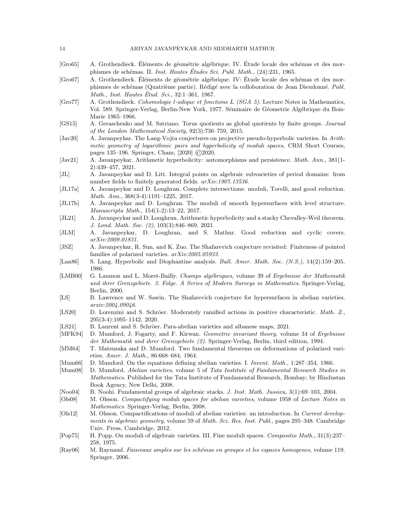#### 14 ARIYAN JAVANPEYKAR AND SIDDHARTH MATHUR

- <span id="page-13-21"></span>[Gro65] A. Grothendieck. Eléments de géométrie algébrique. IV. Étude locale des schémas et des morphismes de sch´emas. II. *Inst. Hautes Etudes Sci. Publ. Math. ´* , (24):231, 1965.
- <span id="page-13-16"></span>[Gro67] A. Grothendieck. Éléments de géométrie algébrique. IV: Étude locale des schémas et des morphismes de schémas (Quatrième partie). Rédigé avec la colloboration de Jean Dieudonné. Publ. *Math., Inst. Hautes Etud. Sci. ´* , 32:1–361, 1967.
- <span id="page-13-20"></span>[Gro77] A. Grothendieck. *Cohomologie* l*-adique et fonctions* L *(SGA 5)*. Lecture Notes in Mathematics, Vol. 589. Springer-Verlag, Berlin-New York, 1977. Séminaire de Géometrie Algébrique du Bois-Marie 1965–1966.
- <span id="page-13-9"></span>[GS15] A. Geraschenko and M. Satriano. Torus quotients as global quotients by finite groups. *Journal of the London Mathematical Society*, 92(3):736–759, 2015.
- <span id="page-13-2"></span>[Jav20] A. Javanpeykar. The Lang-Vojta conjectures on projective pseudo-hyperbolic varieties. In *Arithmetic geometry of logarithmic pairs and hyperbolicity of moduli spaces*, CRM Short Courses, pages 135–196. Springer, Cham, [2020] ©2020.
- <span id="page-13-4"></span>[Jav21] A. Javanpeykar. Arithmetic hyperbolicity: automorphisms and persistence. *Math. Ann.*, 381(1- 2):439–457, 2021.
- <span id="page-13-3"></span>[JL] A. Javanpeykar and D. Litt. Integral points on algebraic subvarieties of period domains: from number fields to finitely generated fields. *arXiv:1907.13536*.
- <span id="page-13-8"></span>[JL17a] A. Javanpeykar and D. Loughran. Complete intersections: moduli, Torelli, and good reduction. *Math. Ann.*, 368(3-4):1191–1225, 2017.
- <span id="page-13-23"></span>[JL17b] A. Javanpeykar and D. Loughran. The moduli of smooth hypersurfaces with level structure. *Manuscripta Math.*, 154(1-2):13–22, 2017.
- <span id="page-13-5"></span>[JL21] A. Javanpeykar and D. Loughran. Arithmetic hyperbolicity and a stacky Chevalley-Weil theorem. *J. Lond. Math. Soc. (2)*, 103(3):846–869, 2021.
- <span id="page-13-7"></span>[JLM] A. Javanpeykar, D. Loughran, and S. Mathur. Good reduction and cyclic covers. *arXiv:2009.01831*.
- <span id="page-13-6"></span>[JSZ] A. Javanpeykar, R. Sun, and K. Zuo. The Shafarevich conjecture revisited: Finiteness of pointed families of polarized varieties. *arXiv:2005.05933*.
- <span id="page-13-1"></span>[Lan86] S. Lang. Hyperbolic and Diophantine analysis. *Bull. Amer. Math. Soc. (N.S.)*, 14(2):159–205, 1986.
- <span id="page-13-15"></span>[LMB00] G. Laumon and L. Moret-Bailly. *Champs alg´ebriques*, volume 39 of *Ergebnisse der Mathematik und ihrer Grenzgebiete. 3. Folge. A Series of Modern Surveys in Mathematics*. Springer-Verlag, Berlin, 2000.
- <span id="page-13-0"></span>[LS] B. Lawrence and W. Sawin. The Shafarevich conjecture for hypersurfaces in abelian varieties. *arxiv:2004.09046*.
- <span id="page-13-10"></span>[LS20] D. Lorenzini and S. Schröer. Moderately ramified actions in positive characteristic. Math. Z., 295(3-4):1095–1142, 2020.
- [LS21] B. Laurent and S. Schröer. Para-abelian varieties and albanese maps, 2021.
- <span id="page-13-18"></span>[MFK94] D. Mumford, J. Fogarty, and F. Kirwan. *Geometric invariant theory*, volume 34 of *Ergebnisse der Mathematik und ihrer Grenzgebiete (2)*. Springer-Verlag, Berlin, third edition, 1994.
- <span id="page-13-24"></span>[MM64] T. Matsusaka and D. Mumford. Two fundamental theorems on deformations of polarized varieties. *Amer. J. Math.*, 86:668–684, 1964.
- <span id="page-13-17"></span>[Mum66] D. Mumford. On the equations defining abelian varieties. I. *Invent. Math.*, 1:287–354, 1966.
- <span id="page-13-19"></span>[Mum08] D. Mumford. *Abelian varieties*, volume 5 of *Tata Institute of Fundamental Research Studies in Mathematics*. Published for the Tata Institute of Fundamental Research, Bombay; by Hindustan Book Agency, New Delhi, 2008.
- <span id="page-13-14"></span>[Noo04] B. Noohi. Fundamental groups of algebraic stacks. *J. Inst. Math. Jussieu*, 3(1):69–103, 2004.
- <span id="page-13-11"></span>[Ols08] M. Olsson. *Compactifying moduli spaces for abelian varieties*, volume 1958 of *Lecture Notes in Mathematics*. Springer-Verlag, Berlin, 2008.
- <span id="page-13-13"></span>[Ols12] M. Olsson. Compactifications of moduli of abelian varieties: an introduction. In *Current developments in algebraic geometry*, volume 59 of *Math. Sci. Res. Inst. Publ.*, pages 295–348. Cambridge Univ. Press, Cambridge, 2012.
- <span id="page-13-22"></span>[Pop75] H. Popp. On moduli of algebraic varieties. III. Fine moduli spaces. *Compositio Math.*, 31(3):237– 258, 1975.
- <span id="page-13-12"></span>[Ray06] M. Raynaud. *Faisceaux amples sur les sch´emas en groupes et les espaces homogenes*, volume 119. Springer, 2006.